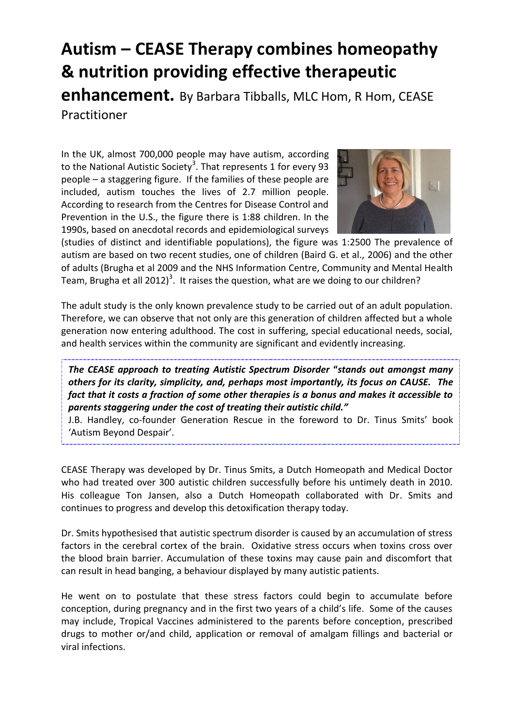# **Autism – CEASE Therapy combines homeopathy & nutrition providing effective therapeutic**

**enhancement.** By Barbara Tibballs, MLC Hom, R Hom, CEASE Practitioner

In the UK, almost 700,000 people may have autism, according to the National Autistic Society<sup>3</sup>. That represents 1 for every 93 people – a staggering figure. If the families of these people are included, autism touches the lives of 2.7 million people. According to research from the Centres for Disease Control and Prevention in the U.S., the figure there is 1:88 children. In the 1990s, based on anecdotal records and epidemiological surveys



(studies of distinct and identifiable populations), the figure was 1:2500 The prevalence of autism are based on two recent studies, one of children (Baird G. et al., 2006) and the other of adults (Brugha et al 2009 and the NHS Information Centre, Community and Mental Health Team, Brugha et all 2012)<sup>3</sup>. It raises the question, what are we doing to our children?

The adult study is the only known prevalence study to be carried out of an adult population. Therefore, we can observe that not only are this generation of children affected but a whole generation now entering adulthood. The cost in suffering, special educational needs, social, and health services within the community are significant and evidently increasing.

*The CEASE approach to treating Autistic Spectrum Disorder* **"***stands out amongst many others for its clarity, simplicity, and, perhaps most importantly, its focus on CAUSE. The fact that it costs a fraction of some other therapies is a bonus and makes it accessible to parents staggering under the cost of treating their autistic child."*

J.B. Handley, co-founder Generation Rescue in the foreword to Dr. Tinus Smits' book 'Autism Beyond Despair'.

CEASE Therapy was developed by Dr. Tinus Smits, a Dutch Homeopath and Medical Doctor who had treated over 300 autistic children successfully before his untimely death in 2010. His colleague Ton Jansen, also a Dutch Homeopath collaborated with Dr. Smits and continues to progress and develop this detoxification therapy today.

Dr. Smits hypothesised that autistic spectrum disorder is caused by an accumulation of stress factors in the cerebral cortex of the brain. Oxidative stress occurs when toxins cross over the blood brain barrier. Accumulation of these toxins may cause pain and discomfort that can result in head banging, a behaviour displayed by many autistic patients.

He went on to postulate that these stress factors could begin to accumulate before conception, during pregnancy and in the first two years of a child's life. Some of the causes may include, Tropical Vaccines administered to the parents before conception, prescribed drugs to mother or/and child, application or removal of amalgam fillings and bacterial or viral infections.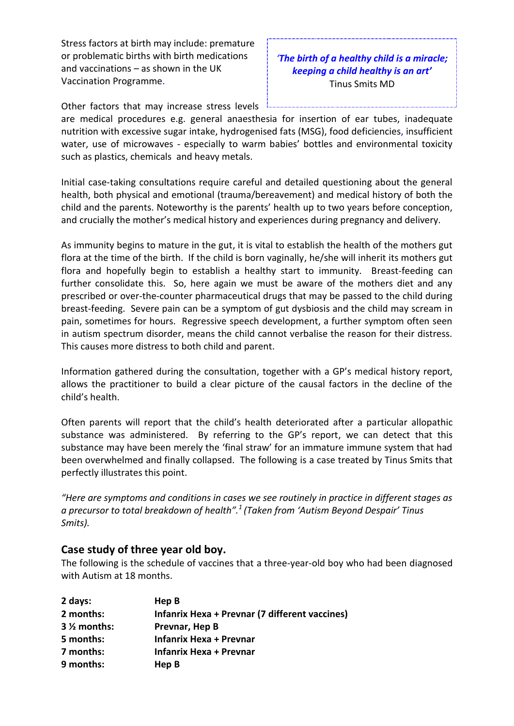Stress factors at birth may include: premature or problematic births with birth medications and vaccinations – as shown in the UK Vaccination Programme.

## *'The birth of a healthy child is a miracle; keeping a child healthy is an art'*  Tinus Smits MD

Other factors that may increase stress levels

are medical procedures e.g. general anaesthesia for insertion of ear tubes, inadequate nutrition with excessive sugar intake, hydrogenised fats (MSG), food deficiencies, insufficient water, use of microwaves - especially to warm babies' bottles and environmental toxicity such as plastics, chemicals and heavy metals.

Initial case-taking consultations require careful and detailed questioning about the general health, both physical and emotional (trauma/bereavement) and medical history of both the child and the parents. Noteworthy is the parents' health up to two years before conception, and crucially the mother's medical history and experiences during pregnancy and delivery.

As immunity begins to mature in the gut, it is vital to establish the health of the mothers gut flora at the time of the birth. If the child is born vaginally, he/she will inherit its mothers gut flora and hopefully begin to establish a healthy start to immunity. Breast-feeding can further consolidate this. So, here again we must be aware of the mothers diet and any prescribed or over-the-counter pharmaceutical drugs that may be passed to the child during breast-feeding. Severe pain can be a symptom of gut dysbiosis and the child may scream in pain, sometimes for hours. Regressive speech development, a further symptom often seen in autism spectrum disorder, means the child cannot verbalise the reason for their distress. This causes more distress to both child and parent.

Information gathered during the consultation, together with a GP's medical history report, allows the practitioner to build a clear picture of the causal factors in the decline of the child's health.

Often parents will report that the child's health deteriorated after a particular allopathic substance was administered. By referring to the GP's report, we can detect that this substance may have been merely the 'final straw' for an immature immune system that had been overwhelmed and finally collapsed. The following is a case treated by Tinus Smits that perfectly illustrates this point.

*"Here are symptoms and conditions in cases we see routinely in practice in different stages as a precursor to total breakdown of health".<sup>1</sup> (Taken from 'Autism Beyond Despair' Tinus Smits).* 

#### **Case study of three year old boy.**

The following is the schedule of vaccines that a three-year-old boy who had been diagnosed with Autism at 18 months.

| 2 days:       | Hep B                                                 |
|---------------|-------------------------------------------------------|
| 2 months:     | <b>Infanrix Hexa + Prevnar (7 different vaccines)</b> |
| $3\%$ months: | Prevnar, Hep B                                        |
| 5 months:     | <b>Infanrix Hexa + Prevnar</b>                        |
| 7 months:     | Infanrix Hexa + Prevnar                               |
| 9 months:     | Hep B                                                 |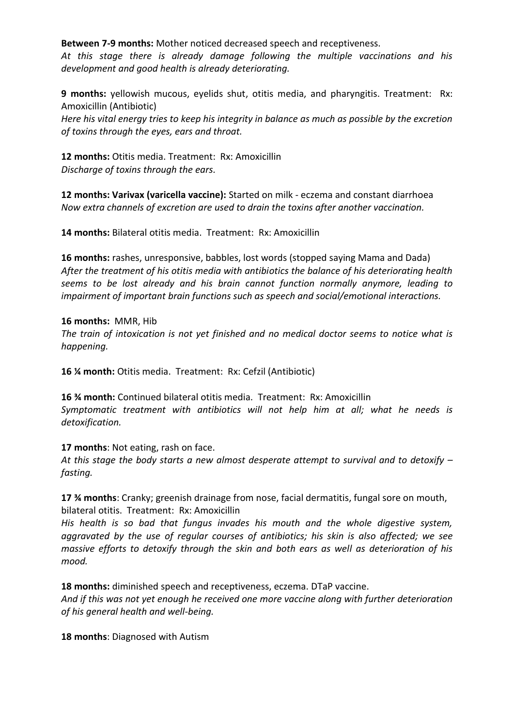**Between 7-9 months:** Mother noticed decreased speech and receptiveness.

*At this stage there is already damage following the multiple vaccinations and his development and good health is already deteriorating.* 

**9 months:** yellowish mucous, eyelids shut, otitis media, and pharyngitis. Treatment: Rx: Amoxicillin (Antibiotic)

*Here his vital energy tries to keep his integrity in balance as much as possible by the excretion of toxins through the eyes, ears and throat.* 

**12 months:** Otitis media. Treatment: Rx: Amoxicillin *Discharge of toxins through the ears.* 

**12 months: Varivax (varicella vaccine):** Started on milk - eczema and constant diarrhoea *Now extra channels of excretion are used to drain the toxins after another vaccination.* 

**14 months:** Bilateral otitis media. Treatment: Rx: Amoxicillin

**16 months:** rashes, unresponsive, babbles, lost words (stopped saying Mama and Dada) *After the treatment of his otitis media with antibiotics the balance of his deteriorating health seems to be lost already and his brain cannot function normally anymore, leading to impairment of important brain functions such as speech and social/emotional interactions.* 

**16 months:** MMR, Hib *The train of intoxication is not yet finished and no medical doctor seems to notice what is happening.* 

**16 ¼ month:** Otitis media. Treatment: Rx: Cefzil (Antibiotic)

**16 ¾ month:** Continued bilateral otitis media. Treatment: Rx: Amoxicillin *Symptomatic treatment with antibiotics will not help him at all; what he needs is detoxification.* 

**17 months**: Not eating, rash on face.

*At this stage the body starts a new almost desperate attempt to survival and to detoxify – fasting.* 

**17 ¾ months**: Cranky; greenish drainage from nose, facial dermatitis, fungal sore on mouth, bilateral otitis. Treatment: Rx: Amoxicillin

*His health is so bad that fungus invades his mouth and the whole digestive system, aggravated by the use of regular courses of antibiotics; his skin is also affected; we see massive efforts to detoxify through the skin and both ears as well as deterioration of his mood.* 

**18 months:** diminished speech and receptiveness, eczema. DTaP vaccine.

*And if this was not yet enough he received one more vaccine along with further deterioration of his general health and well-being.* 

**18 months**: Diagnosed with Autism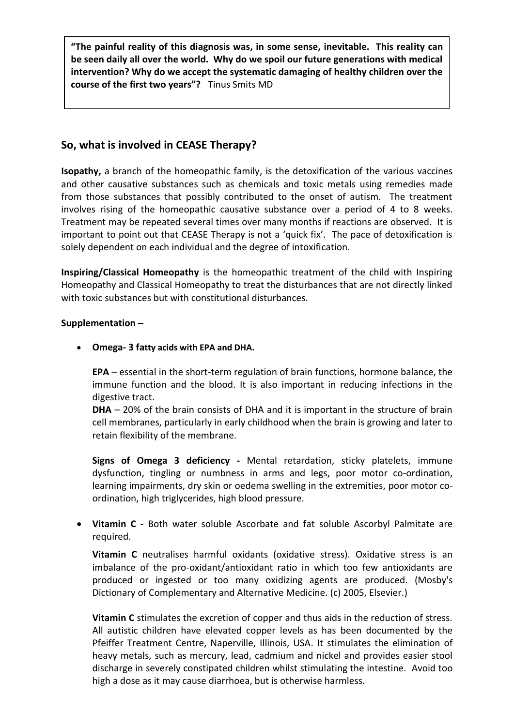**"The painful reality of this diagnosis was, in some sense, inevitable. This reality can be seen daily all over the world. Why do we spoil our future generations with medical intervention? Why do we accept the systematic damaging of healthy children over the course of the first two years"?** Tinus Smits MD

## **So, what is involved in CEASE Therapy?**

**Isopathy,** a branch of the homeopathic family, is the detoxification of the various vaccines and other causative substances such as chemicals and toxic metals using remedies made from those substances that possibly contributed to the onset of autism. The treatment involves rising of the homeopathic causative substance over a period of 4 to 8 weeks. Treatment may be repeated several times over many months if reactions are observed. It is important to point out that CEASE Therapy is not a 'quick fix'. The pace of detoxification is solely dependent on each individual and the degree of intoxification.

**Inspiring/Classical Homeopathy** is the homeopathic treatment of the child with Inspiring Homeopathy and Classical Homeopathy to treat the disturbances that are not directly linked with toxic substances but with constitutional disturbances.

#### **Supplementation –**

**Omega- 3 fatty acids with EPA and DHA.** 

**EPA** – essential in the short-term regulation of brain functions, hormone balance, the immune function and the blood. It is also important in reducing infections in the digestive tract.

**DHA** – 20% of the brain consists of DHA and it is important in the structure of brain cell membranes, particularly in early childhood when the brain is growing and later to retain flexibility of the membrane.

**Signs of Omega 3 deficiency -** Mental retardation, sticky platelets, immune dysfunction, tingling or numbness in arms and legs, poor motor co-ordination, learning impairments, dry skin or oedema swelling in the extremities, poor motor coordination, high triglycerides, high blood pressure.

 **Vitamin C** - Both water soluble Ascorbate and fat soluble Ascorbyl Palmitate are required.

**Vitamin C** neutralises harmful oxidants (oxidative stress). Oxidative stress is an imbalance of the pro-oxidant/antioxidant ratio in which too few antioxidants are produced or ingested or too many oxidizing agents are produced. (Mosby's Dictionary of Complementary and Alternative Medicine. (c) 2005, Elsevier.)

**Vitamin C** stimulates the excretion of copper and thus aids in the reduction of stress. All autistic children have elevated copper levels as has been documented by the Pfeiffer Treatment Centre, Naperville, Illinois, USA. It stimulates the elimination of heavy metals, such as mercury, lead, cadmium and nickel and provides easier stool discharge in severely constipated children whilst stimulating the intestine. Avoid too high a dose as it may cause diarrhoea, but is otherwise harmless.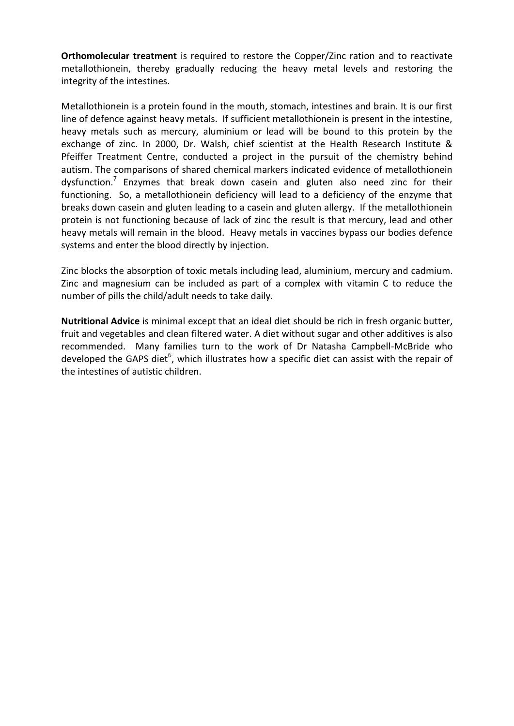**Orthomolecular treatment** is required to restore the Copper/Zinc ration and to reactivate metallothionein, thereby gradually reducing the heavy metal levels and restoring the integrity of the intestines.

Metallothionein is a protein found in the mouth, stomach, intestines and brain. It is our first line of defence against heavy metals. If sufficient metallothionein is present in the intestine, heavy metals such as mercury, aluminium or lead will be bound to this protein by the exchange of zinc. In 2000, Dr. Walsh, chief scientist at the Health Research Institute & Pfeiffer Treatment Centre, conducted a project in the pursuit of the chemistry behind autism. The comparisons of shared chemical markers indicated evidence of metallothionein dysfunction.<sup>7</sup> Enzymes that break down casein and gluten also need zinc for their functioning. So, a metallothionein deficiency will lead to a deficiency of the enzyme that breaks down casein and gluten leading to a casein and gluten allergy. If the metallothionein protein is not functioning because of lack of zinc the result is that mercury, lead and other heavy metals will remain in the blood. Heavy metals in vaccines bypass our bodies defence systems and enter the blood directly by injection.

Zinc blocks the absorption of toxic metals including lead, aluminium, mercury and cadmium. Zinc and magnesium can be included as part of a complex with vitamin C to reduce the number of pills the child/adult needs to take daily.

**Nutritional Advice** is minimal except that an ideal diet should be rich in fresh organic butter, fruit and vegetables and clean filtered water. A diet without sugar and other additives is also recommended. Many families turn to the work of Dr Natasha Campbell-McBride who developed the GAPS diet<sup>6</sup>, which illustrates how a specific diet can assist with the repair of the intestines of autistic children.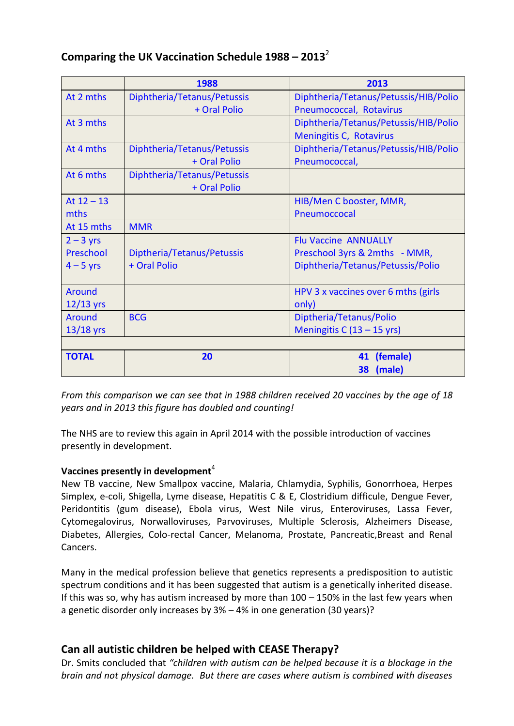| Comparing the UK Vaccination Schedule $1988 - 2013^2$ |  |
|-------------------------------------------------------|--|
|-------------------------------------------------------|--|

|               | 1988                        | 2013                                  |  |  |
|---------------|-----------------------------|---------------------------------------|--|--|
| At 2 mths     | Diphtheria/Tetanus/Petussis | Diphtheria/Tetanus/Petussis/HIB/Polio |  |  |
|               | + Oral Polio                | Pneumococcal, Rotavirus               |  |  |
| At 3 mths     |                             | Diphtheria/Tetanus/Petussis/HIB/Polio |  |  |
|               |                             | Meningitis C, Rotavirus               |  |  |
| At 4 mths     | Diphtheria/Tetanus/Petussis | Diphtheria/Tetanus/Petussis/HIB/Polio |  |  |
|               | + Oral Polio                | Pneumococcal,                         |  |  |
| At 6 mths     | Diphtheria/Tetanus/Petussis |                                       |  |  |
|               | + Oral Polio                |                                       |  |  |
| At $12 - 13$  |                             | HIB/Men C booster, MMR,               |  |  |
| mths          |                             | Pneumoccocal                          |  |  |
| At 15 mths    | <b>MMR</b>                  |                                       |  |  |
| $2 - 3$ yrs   |                             | <b>Flu Vaccine ANNUALLY</b>           |  |  |
| Preschool     | Diptheria/Tetanus/Petussis  | Preschool 3yrs & 2mths - MMR,         |  |  |
| $4 - 5$ yrs   | + Oral Polio                | Diphtheria/Tetanus/Petussis/Polio     |  |  |
|               |                             |                                       |  |  |
| <b>Around</b> |                             | HPV 3 x vaccines over 6 mths (girls   |  |  |
| $12/13$ yrs   |                             | only)                                 |  |  |
| <b>Around</b> | <b>BCG</b>                  | Diptheria/Tetanus/Polio               |  |  |
| $13/18$ yrs   |                             | Meningitis C $(13 - 15$ yrs)          |  |  |
|               |                             |                                       |  |  |
| <b>TOTAL</b>  | 20                          | (female)<br>41                        |  |  |
|               |                             | (male)<br>38                          |  |  |

*From this comparison we can see that in 1988 children received 20 vaccines by the age of 18 years and in 2013 this figure has doubled and counting!* 

The NHS are to review this again in April 2014 with the possible introduction of vaccines presently in development.

## Vaccines presently in development<sup>4</sup>

New TB vaccine, New Smallpox vaccine, Malaria, Chlamydia, Syphilis, Gonorrhoea, Herpes Simplex, e-coli, Shigella, Lyme disease, Hepatitis C & E, Clostridium difficule, Dengue Fever, Peridontitis (gum disease), Ebola virus, West Nile virus, Enteroviruses, Lassa Fever, Cytomegalovirus, Norwalloviruses, Parvoviruses, Multiple Sclerosis, Alzheimers Disease, Diabetes, Allergies, Colo-rectal Cancer, Melanoma, Prostate, Pancreatic,Breast and Renal Cancers.

Many in the medical profession believe that genetics represents a predisposition to autistic spectrum conditions and it has been suggested that autism is a genetically inherited disease. If this was so, why has autism increased by more than 100 – 150% in the last few years when a genetic disorder only increases by 3% – 4% in one generation (30 years)?

## **Can all autistic children be helped with CEASE Therapy?**

Dr. Smits concluded that *"children with autism can be helped because it is a blockage in the brain and not physical damage. But there are cases where autism is combined with diseases*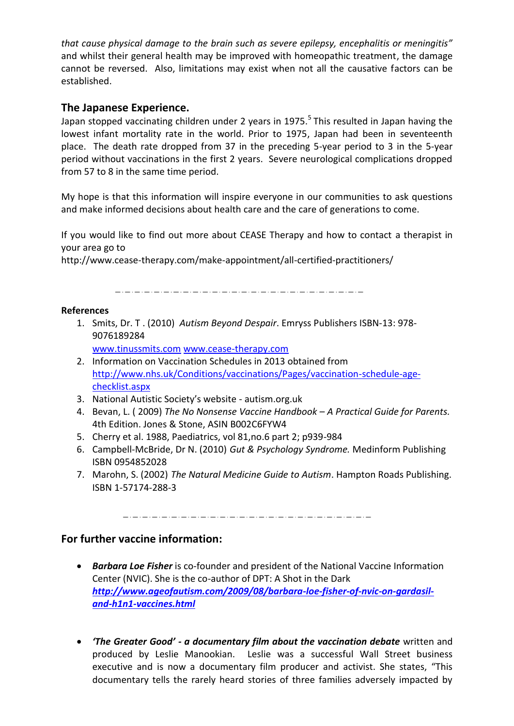*that cause physical damage to the brain such as severe epilepsy, encephalitis or meningitis"*  and whilst their general health may be improved with homeopathic treatment, the damage cannot be reversed. Also, limitations may exist when not all the causative factors can be established.

## **The Japanese Experience.**

Japan stopped vaccinating children under 2 years in 1975.<sup>5</sup> This resulted in Japan having the lowest infant mortality rate in the world. Prior to 1975, Japan had been in seventeenth place. The death rate dropped from 37 in the preceding 5-year period to 3 in the 5-year period without vaccinations in the first 2 years. Severe neurological complications dropped from 57 to 8 in the same time period.

My hope is that this information will inspire everyone in our communities to ask questions and make informed decisions about health care and the care of generations to come.

If you would like to find out more about CEASE Therapy and how to contact a therapist in your area go to

http://www.cease-therapy.com/make-appointment/all-certified-practitioners/

#### **References**

- 1. Smits, Dr. T . (2010) *Autism Beyond Despair*. Emryss Publishers ISBN-13: 978- 9076189284
	- [www.tinussmits.com](http://www.tinussmits.com/) [www.cease-therapy.com](http://www.cease-therapy.com/)
- 2. Information on Vaccination Schedules in 2013 obtained from [http://www.nhs.uk/Conditions/vaccinations/Pages/vaccination-schedule-age](http://www.nhs.uk/Conditions/vaccinations/Pages/vaccination-schedule-age-checklist.aspx)[checklist.aspx](http://www.nhs.uk/Conditions/vaccinations/Pages/vaccination-schedule-age-checklist.aspx)
- 3. National Autistic Society's website autism.org.uk
- 4. Bevan, L. ( 2009) *The No Nonsense Vaccine Handbook – A Practical Guide for Parents.* 4th Edition. Jones & Stone, ASIN B002C6FYW4
- 5. Cherry et al. 1988, Paediatrics, vol 81,no.6 part 2; p939-984
- 6. Campbell-McBride, Dr N. (2010) *Gut & Psychology Syndrome.* Medinform Publishing ISBN 0954852028
- 7. Marohn, S. (2002) *The Natural Medicine Guide to Autism*. Hampton Roads Publishing. ISBN 1-57174-288-3

<u> 2002. 2012. 2012. 2012. 2012. 2012. 2012. 2012. 2012. 2012. 2012. 2012. 2012. 2012. 2012. 2012. 201</u>

#### **For further vaccine information:**

- *Barbara Loe Fisher* is co-founder and president of the National Vaccine Information Center (NVIC). She is the co-author of DPT: A Shot in the Dark *[http://www.ageofautism.com/2009/08/barbara-loe-fisher-of-nvic-on-gardasil](http://www.ageofautism.com/2009/08/barbara-loe-fisher-of-nvic-on-gardasil-and-h1n1-vaccines.html)[and-h1n1-vaccines.html](http://www.ageofautism.com/2009/08/barbara-loe-fisher-of-nvic-on-gardasil-and-h1n1-vaccines.html)*
- *'The Greater Good' a documentary film about the vaccination debate* written and produced by Leslie Manookian. Leslie was a successful Wall Street business executive and is now a documentary film producer and activist. She states, "This documentary tells the rarely heard stories of three families adversely impacted by